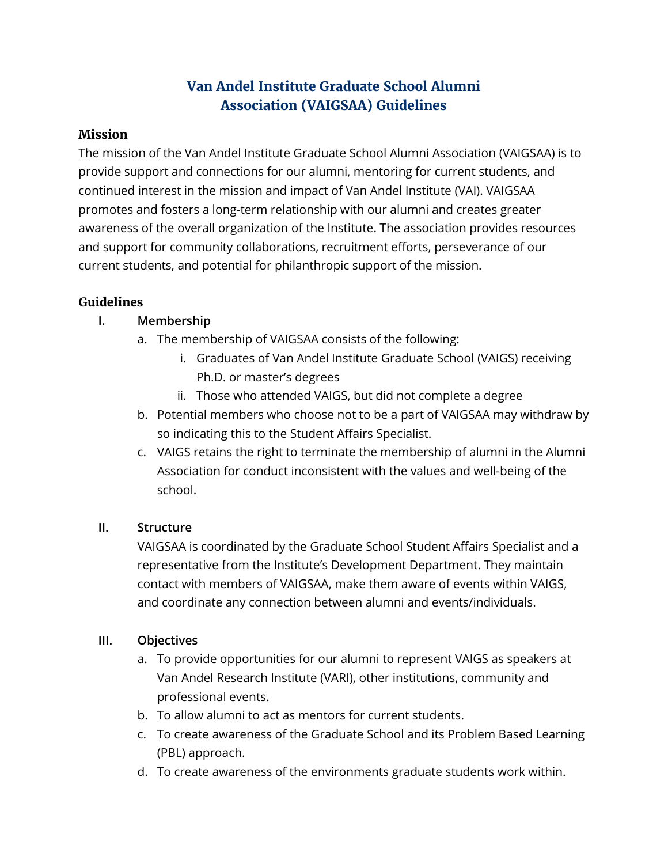# **Van Andel Institute Graduate School Alumni Association (VAIGSAA) Guidelines**

#### **Mission**

The mission of the Van Andel Institute Graduate School Alumni Association (VAIGSAA) is to provide support and connections for our alumni, mentoring for current students, and continued interest in the mission and impact of Van Andel Institute (VAI). VAIGSAA promotes and fosters a long-term relationship with our alumni and creates greater awareness of the overall organization of the Institute. The association provides resources and support for community collaborations, recruitment efforts, perseverance of our current students, and potential for philanthropic support of the mission.

# **Guidelines**

# **I. Membership**

- a. The membership of VAIGSAA consists of the following:
	- i. Graduates of Van Andel Institute Graduate School (VAIGS) receiving Ph.D. or master's degrees
	- ii. Those who attended VAIGS, but did not complete a degree
- b. Potential members who choose not to be a part of VAIGSAA may withdraw by so indicating this to the Student Affairs Specialist.
- c. VAIGS retains the right to terminate the membership of alumni in the Alumni Association for conduct inconsistent with the values and well-being of the school.

# **II. Structure**

VAIGSAA is coordinated by the Graduate School Student Affairs Specialist and a representative from the Institute's Development Department. They maintain contact with members of VAIGSAA, make them aware of events within VAIGS, and coordinate any connection between alumni and events/individuals.

# **III. Objectives**

- a. To provide opportunities for our alumni to represent VAIGS as speakers at Van Andel Research Institute (VARI), other institutions, community and professional events.
- b. To allow alumni to act as mentors for current students.
- c. To create awareness of the Graduate School and its Problem Based Learning (PBL) approach.
- d. To create awareness of the environments graduate students work within.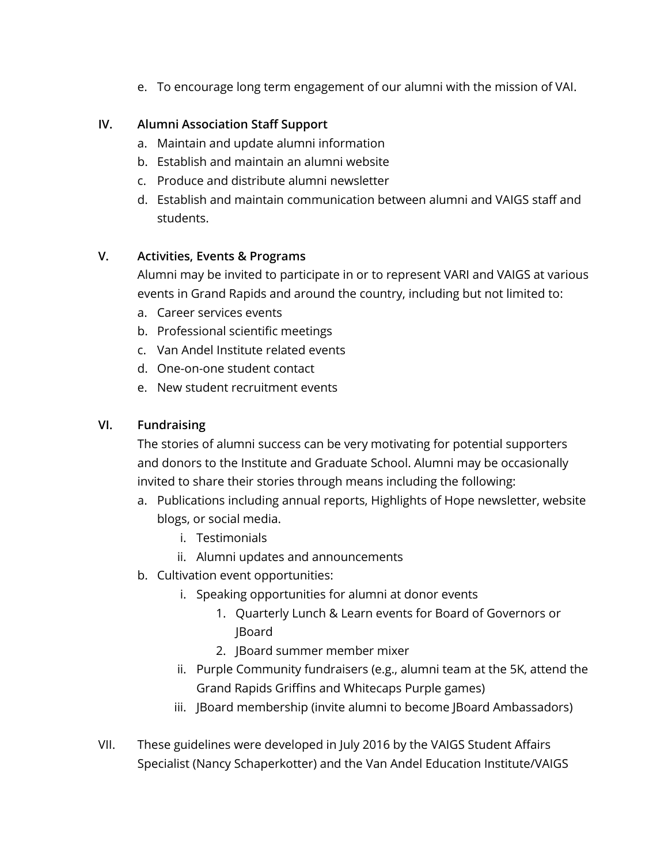e. To encourage long term engagement of our alumni with the mission of VAI.

#### **IV. Alumni Association Staff Support**

- a. Maintain and update alumni information
- b. Establish and maintain an alumni website
- c. Produce and distribute alumni newsletter
- d. Establish and maintain communication between alumni and VAIGS staff and students.

#### **V. Activities, Events & Programs**

Alumni may be invited to participate in or to represent VARI and VAIGS at various events in Grand Rapids and around the country, including but not limited to:

- a. Career services events
- b. Professional scientific meetings
- c. Van Andel Institute related events
- d. One-on-one student contact
- e. New student recruitment events

#### **VI. Fundraising**

The stories of alumni success can be very motivating for potential supporters and donors to the Institute and Graduate School. Alumni may be occasionally invited to share their stories through means including the following:

- a. Publications including annual reports, Highlights of Hope newsletter, website blogs, or social media.
	- i. Testimonials
	- ii. Alumni updates and announcements
- b. Cultivation event opportunities:
	- i. Speaking opportunities for alumni at donor events
		- 1. Quarterly Lunch & Learn events for Board of Governors or JBoard
		- 2. JBoard summer member mixer
	- ii. Purple Community fundraisers (e.g., alumni team at the 5K, attend the Grand Rapids Griffins and Whitecaps Purple games)
	- iii. JBoard membership (invite alumni to become JBoard Ambassadors)
- VII. These guidelines were developed in July 2016 by the VAIGS Student Affairs Specialist (Nancy Schaperkotter) and the Van Andel Education Institute/VAIGS